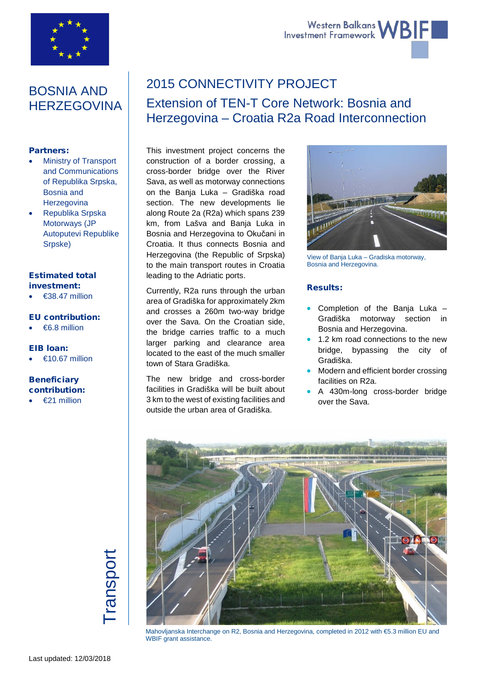

# Western Balkans WBIF

# BOSNIA AND **HERZEGOVINA**

# Partners:

- Ministry of Transport and Communications of Republika Srpska, Bosnia and **Herzegovina**
- Republika Srpska Motorways (JP Autoputevi Republike Srpske)

# Estimated total investment:

 $\epsilon$ 38.47 million

# EU contribution:

• €6.8 million

# EIB loan:

 $€10.67$  million

# **Beneficiary** contribution:

 $£21$  million

# 2015 CONNECTIVITY PROJECT

# Extension of TEN-T Core Network: Bosnia and Herzegovina – Croatia R2a Road Interconnection

This investment project concerns the construction of a border crossing, a cross-border bridge over the River Sava, as well as motorway connections on the Banja Luka – Gradiška road section. The new developments lie along Route 2a (R2a) which spans 239 km, from Lašva and Banja Luka in Bosnia and Herzegovina to Okučani in Croatia. It thus connects Bosnia and Herzegovina (the Republic of Srpska) to the main transport routes in Croatia leading to the Adriatic ports.

Currently, R2a runs through the urban area of Gradiška for approximately 2km and crosses a 260m two-way bridge over the Sava. On the Croatian side, the bridge carries traffic to a much larger parking and clearance area located to the east of the much smaller town of Stara Gradiška.

The new bridge and cross-border facilities in Gradiška will be built about 3 km to the west of existing facilities and outside the urban area of Gradiška.



View of Banja Luka – Gradiska motorway, Bosnia and Herzegovina.

# Results:

- Completion of the Banja Luka Gradiška motorway section in Bosnia and Herzegovina.
- 1.2 km road connections to the new bridge, bypassing the city of Gradiška.
- Modern and efficient border crossing facilities on R2a.
- A 430m-long cross-border bridge over the Sava.



Mahovljanska Interchange on R2, Bosnia and Herzegovina, completed in 2012 with €5.3 million EU and WBIF grant assistance.

# ranspor